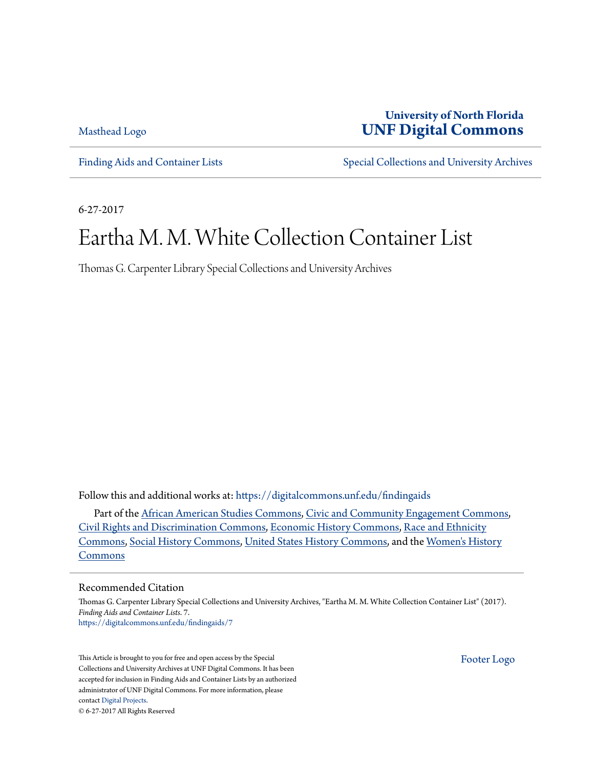[Masthead Logo](http://digitalcommons.unf.edu?utm_source=digitalcommons.unf.edu%2Ffindingaids%2F7&utm_medium=PDF&utm_campaign=PDFCoverPages)

### **University of North Florida [UNF Digital Commons](https://digitalcommons.unf.edu?utm_source=digitalcommons.unf.edu%2Ffindingaids%2F7&utm_medium=PDF&utm_campaign=PDFCoverPages)**

[Finding Aids and Container Lists](https://digitalcommons.unf.edu/findingaids?utm_source=digitalcommons.unf.edu%2Ffindingaids%2F7&utm_medium=PDF&utm_campaign=PDFCoverPages) [Special Collections and University Archives](https://digitalcommons.unf.edu/spec_coll?utm_source=digitalcommons.unf.edu%2Ffindingaids%2F7&utm_medium=PDF&utm_campaign=PDFCoverPages)

6-27-2017

## Eartha M. M. White Collection Container List

Thomas G. Carpenter Library Special Collections and University Archives

Follow this and additional works at: [https://digitalcommons.unf.edu/findingaids](https://digitalcommons.unf.edu/findingaids?utm_source=digitalcommons.unf.edu%2Ffindingaids%2F7&utm_medium=PDF&utm_campaign=PDFCoverPages)

Part of the [African American Studies Commons,](http://network.bepress.com/hgg/discipline/567?utm_source=digitalcommons.unf.edu%2Ffindingaids%2F7&utm_medium=PDF&utm_campaign=PDFCoverPages) [Civic and Community Engagement Commons](http://network.bepress.com/hgg/discipline/1028?utm_source=digitalcommons.unf.edu%2Ffindingaids%2F7&utm_medium=PDF&utm_campaign=PDFCoverPages), [Civil Rights and Discrimination Commons,](http://network.bepress.com/hgg/discipline/585?utm_source=digitalcommons.unf.edu%2Ffindingaids%2F7&utm_medium=PDF&utm_campaign=PDFCoverPages) [Economic History Commons,](http://network.bepress.com/hgg/discipline/343?utm_source=digitalcommons.unf.edu%2Ffindingaids%2F7&utm_medium=PDF&utm_campaign=PDFCoverPages) [Race and Ethnicity](http://network.bepress.com/hgg/discipline/426?utm_source=digitalcommons.unf.edu%2Ffindingaids%2F7&utm_medium=PDF&utm_campaign=PDFCoverPages) [Commons,](http://network.bepress.com/hgg/discipline/426?utm_source=digitalcommons.unf.edu%2Ffindingaids%2F7&utm_medium=PDF&utm_campaign=PDFCoverPages) [Social History Commons,](http://network.bepress.com/hgg/discipline/506?utm_source=digitalcommons.unf.edu%2Ffindingaids%2F7&utm_medium=PDF&utm_campaign=PDFCoverPages) [United States History Commons](http://network.bepress.com/hgg/discipline/495?utm_source=digitalcommons.unf.edu%2Ffindingaids%2F7&utm_medium=PDF&utm_campaign=PDFCoverPages), and the [Women's History](http://network.bepress.com/hgg/discipline/507?utm_source=digitalcommons.unf.edu%2Ffindingaids%2F7&utm_medium=PDF&utm_campaign=PDFCoverPages) [Commons](http://network.bepress.com/hgg/discipline/507?utm_source=digitalcommons.unf.edu%2Ffindingaids%2F7&utm_medium=PDF&utm_campaign=PDFCoverPages)

#### Recommended Citation

Thomas G. Carpenter Library Special Collections and University Archives, "Eartha M. M. White Collection Container List" (2017). *Finding Aids and Container Lists*. 7. [https://digitalcommons.unf.edu/findingaids/7](https://digitalcommons.unf.edu/findingaids/7?utm_source=digitalcommons.unf.edu%2Ffindingaids%2F7&utm_medium=PDF&utm_campaign=PDFCoverPages)

This Article is brought to you for free and open access by the Special Collections and University Archives at UNF Digital Commons. It has been accepted for inclusion in Finding Aids and Container Lists by an authorized administrator of UNF Digital Commons. For more information, please contact [Digital Projects.](mailto:lib-digital@unf.edu) © 6-27-2017 All Rights Reserved

[Footer Logo](http://digitalcommons.unf.edu?utm_source=digitalcommons.unf.edu%2Ffindingaids%2F7&utm_medium=PDF&utm_campaign=PDFCoverPages)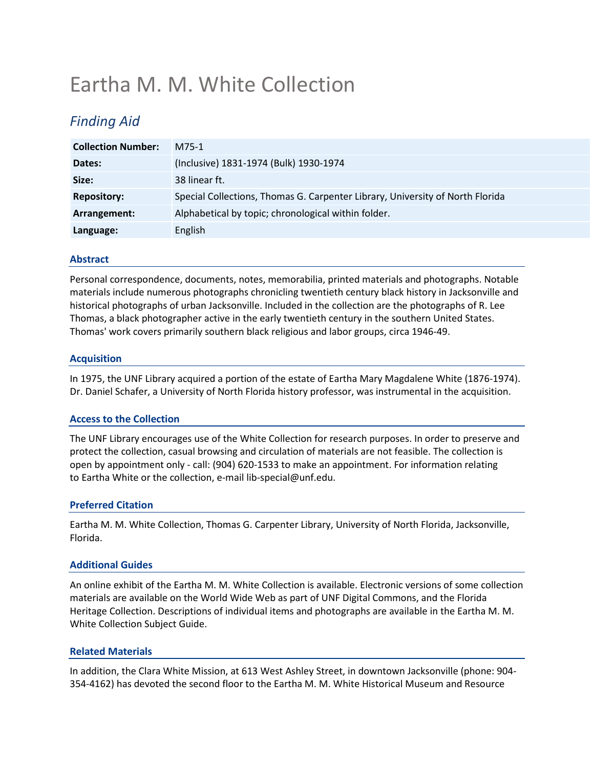# Eartha M. M. White Collection

### *Finding Aid*

| <b>Collection Number:</b> | M75-1                                                                         |
|---------------------------|-------------------------------------------------------------------------------|
| Dates:                    | (Inclusive) 1831-1974 (Bulk) 1930-1974                                        |
| Size:                     | 38 linear ft.                                                                 |
| <b>Repository:</b>        | Special Collections, Thomas G. Carpenter Library, University of North Florida |
| Arrangement:              | Alphabetical by topic; chronological within folder.                           |
| Language:                 | English                                                                       |

#### **Abstract**

Personal correspondence, documents, notes, memorabilia, printed materials and photographs. Notable materials include numerous photographs chronicling twentieth century black history in Jacksonville and historical photographs of urban Jacksonville. Included in the collection are the photographs of R. Lee Thomas, a black photographer active in the early twentieth century in the southern United States. Thomas' work covers primarily southern black religious and labor groups, circa 1946-49.

#### **Acquisition**

In 1975, the UNF Library acquired a portion of the estate of Eartha Mary Magdalene White (1876-1974). Dr. Daniel Schafer, a University of North Florida history professor, was instrumental in the acquisition.

### **Access to the Collection**

The UNF Library encourages use of the White Collection for research purposes. In order to preserve and protect the collection, casual browsing and circulation of materials are not feasible. The collection is open by appointment only - call: (904) 620-1533 to make an appointment. For information relating to Eartha White or the collection, e-mail [lib-special@unf.edu.](mailto:lib-special@unf.edu)

#### **Preferred Citation**

Eartha M. M. White Collection, Thomas G. Carpenter Library, University of North Florida, Jacksonville, Florida.

#### **Additional Guides**

An online exhibit of the Eartha M. M. White Collection is available. Electronic versions of some collection materials are available on the World Wide Web as part of [UNF Digital Commons,](http://digitalcommons.unf.edu/eartha_white/) and the [Florida](http://palmm.fcla.edu/fhp/)  [Heritage Collection.](http://palmm.fcla.edu/fhp/) Descriptions of individual items and photographs are available in the [Eartha M. M.](http://www.unf.edu/WorkArea/linkit.aspx?LinkIdentifier=id&ItemID=15032427978)  [White Collection Subject Guide.](http://www.unf.edu/WorkArea/linkit.aspx?LinkIdentifier=id&ItemID=15032427978)

#### **Related Materials**

In addition, the Clara White Mission, at 613 West Ashley Street, in downtown Jacksonville (phone: 904- 354-4162) has devoted the second floor to the Eartha M. M. White Historical Museum and Resource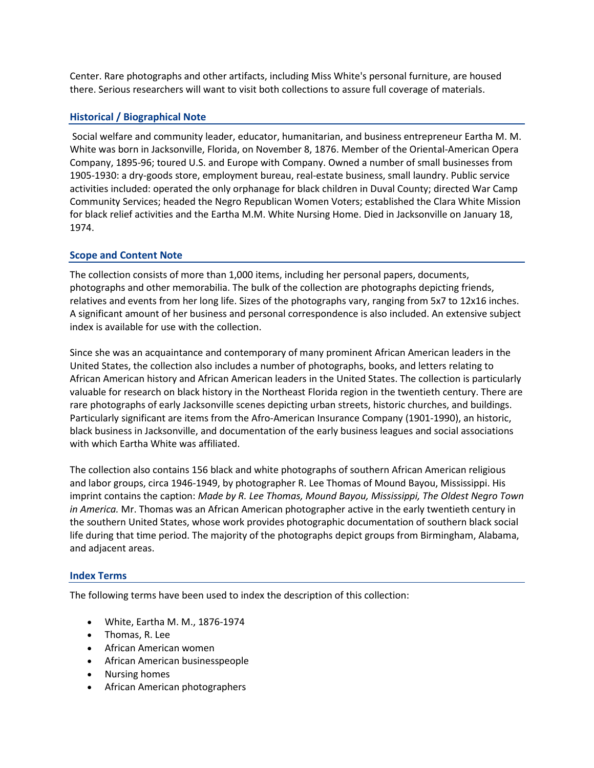Center. Rare photographs and other artifacts, including Miss White's personal furniture, are housed there. Serious researchers will want to visit both collections to assure full coverage of materials.

#### **Historical / Biographical Note**

Social welfare and community leader, educator, humanitarian, and business entrepreneur Eartha M. M. White was born in Jacksonville, Florida, on November 8, 1876. Member of the Oriental-American Opera Company, 1895-96; toured U.S. and Europe with Company. Owned a number of small businesses from 1905-1930: a dry-goods store, employment bureau, real-estate business, small laundry. Public service activities included: operated the only orphanage for black children in Duval County; directed War Camp Community Services; headed the Negro Republican Women Voters; established the Clara White Mission for black relief activities and the Eartha M.M. White Nursing Home. Died in Jacksonville on January 18, 1974.

#### **Scope and Content Note**

The collection consists of more than 1,000 items, including her personal papers, documents, photographs and other memorabilia. The bulk of the collection are photographs depicting friends, relatives and events from her long life. Sizes of the photographs vary, ranging from 5x7 to 12x16 inches. A significant amount of her business and personal correspondence is also included. An extensive subject index is available for use with the collection.

Since she was an acquaintance and contemporary of many prominent African American leaders in the United States, the collection also includes a number of photographs, books, and letters relating to African American history and African American leaders in the United States. The collection is particularly valuable for research on black history in the Northeast Florida region in the twentieth century. There are rare photographs of early Jacksonville scenes depicting urban streets, historic churches, and buildings. Particularly significant are items from the Afro-American Insurance Company (1901-1990), an historic, black business in Jacksonville, and documentation of the early business leagues and social associations with which Eartha White was affiliated.

The collection also contains 156 black and white photographs of southern African American religious and labor groups, circa 1946-1949, by photographer R. Lee Thomas of Mound Bayou, Mississippi. His imprint contains the caption: *Made by R. Lee Thomas, Mound Bayou, Mississippi, The Oldest Negro Town in America.* Mr. Thomas was an African American photographer active in the early twentieth century in the southern United States, whose work provides photographic documentation of southern black social life during that time period. The majority of the photographs depict groups from Birmingham, Alabama, and adjacent areas.

#### **Index Terms**

The following terms have been used to index the description of this collection:

- White, Eartha M. M., 1876-1974
- Thomas, R. Lee
- African American women
- African American businesspeople
- Nursing homes
- African American photographers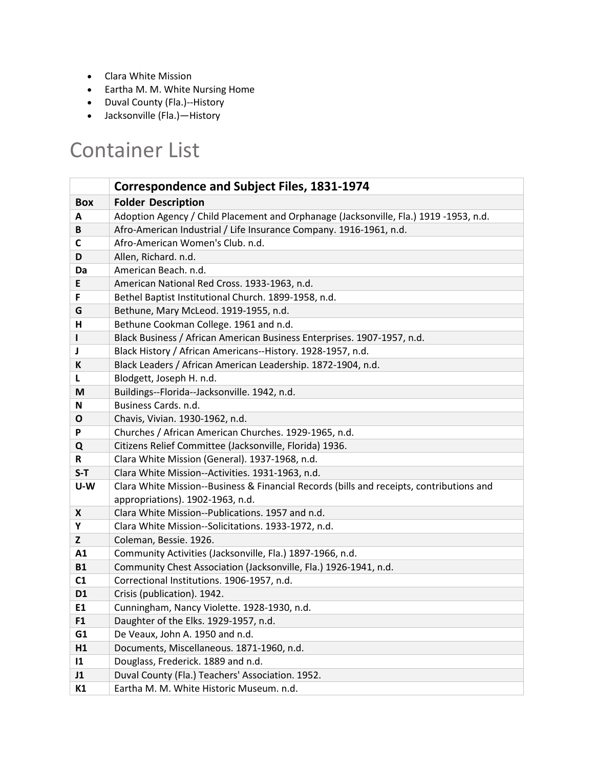- Clara White Mission
- Eartha M. M. White Nursing Home
- Duval County (Fla.)--History
- Jacksonville (Fla.)—History

## Container List

|                | <b>Correspondence and Subject Files, 1831-1974</b>                                       |
|----------------|------------------------------------------------------------------------------------------|
| <b>Box</b>     | <b>Folder Description</b>                                                                |
| A              | Adoption Agency / Child Placement and Orphanage (Jacksonville, Fla.) 1919 -1953, n.d.    |
| B              | Afro-American Industrial / Life Insurance Company. 1916-1961, n.d.                       |
| C              | Afro-American Women's Club. n.d.                                                         |
| D              | Allen, Richard. n.d.                                                                     |
| Da             | American Beach. n.d.                                                                     |
| E              | American National Red Cross. 1933-1963, n.d.                                             |
| F              | Bethel Baptist Institutional Church. 1899-1958, n.d.                                     |
| G              | Bethune, Mary McLeod. 1919-1955, n.d.                                                    |
| н              | Bethune Cookman College. 1961 and n.d.                                                   |
| $\mathbf{I}$   | Black Business / African American Business Enterprises. 1907-1957, n.d.                  |
| J              | Black History / African Americans--History. 1928-1957, n.d.                              |
| K              | Black Leaders / African American Leadership. 1872-1904, n.d.                             |
| L              | Blodgett, Joseph H. n.d.                                                                 |
| M              | Buildings--Florida--Jacksonville. 1942, n.d.                                             |
| N              | Business Cards. n.d.                                                                     |
| O              | Chavis, Vivian. 1930-1962, n.d.                                                          |
| P              | Churches / African American Churches. 1929-1965, n.d.                                    |
| Q              | Citizens Relief Committee (Jacksonville, Florida) 1936.                                  |
| R.             | Clara White Mission (General). 1937-1968, n.d.                                           |
| $S-T$          | Clara White Mission--Activities. 1931-1963, n.d.                                         |
| U-W            | Clara White Mission--Business & Financial Records (bills and receipts, contributions and |
|                | appropriations). 1902-1963, n.d.                                                         |
| X              | Clara White Mission--Publications. 1957 and n.d.                                         |
| Υ              | Clara White Mission--Solicitations. 1933-1972, n.d.                                      |
| Z              | Coleman, Bessie. 1926.                                                                   |
| A1             | Community Activities (Jacksonville, Fla.) 1897-1966, n.d.                                |
| <b>B1</b>      | Community Chest Association (Jacksonville, Fla.) 1926-1941, n.d.                         |
| C1             | Correctional Institutions. 1906-1957, n.d.                                               |
| D <sub>1</sub> | Crisis (publication). 1942.                                                              |
| E1             | Cunningham, Nancy Violette. 1928-1930, n.d.                                              |
| F <sub>1</sub> | Daughter of the Elks. 1929-1957, n.d.                                                    |
| G1             | De Veaux, John A. 1950 and n.d.                                                          |
| H1             | Documents, Miscellaneous. 1871-1960, n.d.                                                |
| $\mathbf{11}$  | Douglass, Frederick. 1889 and n.d.                                                       |
| J1             | Duval County (Fla.) Teachers' Association. 1952.                                         |
| K1             | Eartha M. M. White Historic Museum. n.d.                                                 |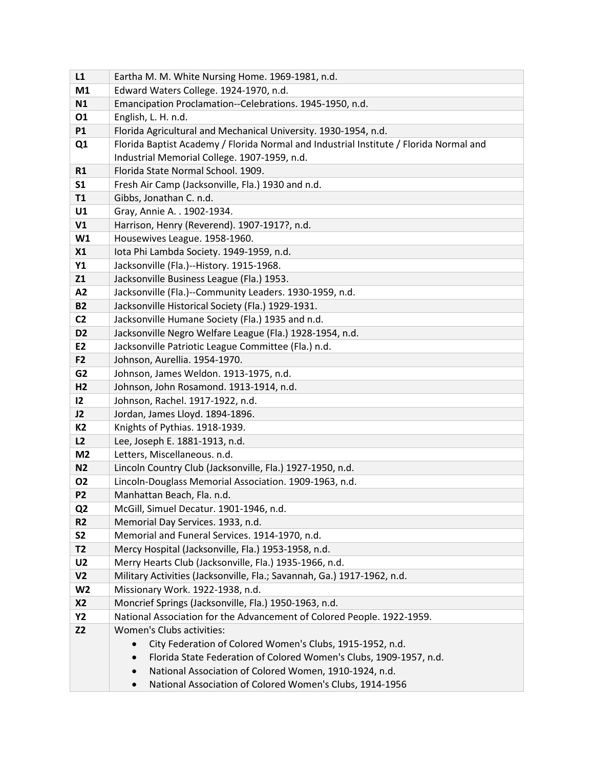| L1             | Eartha M. M. White Nursing Home. 1969-1981, n.d.                                       |
|----------------|----------------------------------------------------------------------------------------|
| M1             | Edward Waters College. 1924-1970, n.d.                                                 |
| N1             | Emancipation Proclamation--Celebrations. 1945-1950, n.d.                               |
| 01             | English, L. H. n.d.                                                                    |
| <b>P1</b>      | Florida Agricultural and Mechanical University. 1930-1954, n.d.                        |
| Q1             | Florida Baptist Academy / Florida Normal and Industrial Institute / Florida Normal and |
|                | Industrial Memorial College. 1907-1959, n.d.                                           |
| R1             | Florida State Normal School. 1909.                                                     |
| S <sub>1</sub> | Fresh Air Camp (Jacksonville, Fla.) 1930 and n.d.                                      |
| T1             | Gibbs, Jonathan C. n.d.                                                                |
| U1             | Gray, Annie A. . 1902-1934.                                                            |
| V1             | Harrison, Henry (Reverend). 1907-1917?, n.d.                                           |
| W1             | Housewives League. 1958-1960.                                                          |
| X1             | Iota Phi Lambda Society. 1949-1959, n.d.                                               |
| Y1             | Jacksonville (Fla.)--History. 1915-1968.                                               |
| Z1             | Jacksonville Business League (Fla.) 1953.                                              |
| A2             | Jacksonville (Fla.)--Community Leaders. 1930-1959, n.d.                                |
| <b>B2</b>      | Jacksonville Historical Society (Fla.) 1929-1931.                                      |
| C <sub>2</sub> | Jacksonville Humane Society (Fla.) 1935 and n.d.                                       |
| D <sub>2</sub> | Jacksonville Negro Welfare League (Fla.) 1928-1954, n.d.                               |
| E <sub>2</sub> | Jacksonville Patriotic League Committee (Fla.) n.d.                                    |
| F <sub>2</sub> | Johnson, Aurellia. 1954-1970.                                                          |
| G <sub>2</sub> | Johnson, James Weldon. 1913-1975, n.d.                                                 |
| H <sub>2</sub> | Johnson, John Rosamond. 1913-1914, n.d.                                                |
| 12             | Johnson, Rachel. 1917-1922, n.d.                                                       |
| J2             | Jordan, James Lloyd. 1894-1896.                                                        |
| <b>K2</b>      | Knights of Pythias. 1918-1939.                                                         |
| L2             | Lee, Joseph E. 1881-1913, n.d.                                                         |
| M <sub>2</sub> | Letters, Miscellaneous. n.d.                                                           |
| N <sub>2</sub> | Lincoln Country Club (Jacksonville, Fla.) 1927-1950, n.d.                              |
| <b>O2</b>      | Lincoln-Douglass Memorial Association. 1909-1963, n.d.                                 |
| P <sub>2</sub> | Manhattan Beach, Fla. n.d.                                                             |
| Q2             | McGill, Simuel Decatur. 1901-1946, n.d.                                                |
| R <sub>2</sub> | Memorial Day Services. 1933, n.d.                                                      |
| <b>S2</b>      | Memorial and Funeral Services. 1914-1970, n.d.                                         |
| <b>T2</b>      | Mercy Hospital (Jacksonville, Fla.) 1953-1958, n.d.                                    |
| U <sub>2</sub> | Merry Hearts Club (Jacksonville, Fla.) 1935-1966, n.d.                                 |
| V <sub>2</sub> | Military Activities (Jacksonville, Fla.; Savannah, Ga.) 1917-1962, n.d.                |
| W <sub>2</sub> | Missionary Work. 1922-1938, n.d.                                                       |
| <b>X2</b>      | Moncrief Springs (Jacksonville, Fla.) 1950-1963, n.d.                                  |
| <b>Y2</b>      | National Association for the Advancement of Colored People. 1922-1959.                 |
| <b>Z2</b>      | Women's Clubs activities:                                                              |
|                | City Federation of Colored Women's Clubs, 1915-1952, n.d.                              |
|                | Florida State Federation of Colored Women's Clubs, 1909-1957, n.d.                     |
|                | National Association of Colored Women, 1910-1924, n.d.                                 |
|                | National Association of Colored Women's Clubs, 1914-1956                               |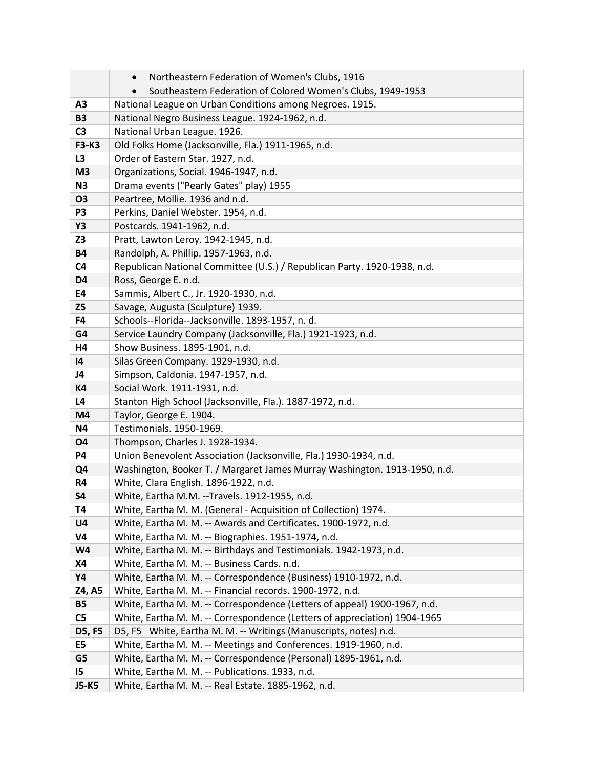|                  | Northeastern Federation of Women's Clubs, 1916                            |
|------------------|---------------------------------------------------------------------------|
|                  | Southeastern Federation of Colored Women's Clubs, 1949-1953               |
| A <sub>3</sub>   | National League on Urban Conditions among Negroes. 1915.                  |
| <b>B3</b>        | National Negro Business League. 1924-1962, n.d.                           |
| C <sub>3</sub>   | National Urban League. 1926.                                              |
| <b>F3-K3</b>     | Old Folks Home (Jacksonville, Fla.) 1911-1965, n.d.                       |
| L <sub>3</sub>   | Order of Eastern Star. 1927, n.d.                                         |
| M <sub>3</sub>   | Organizations, Social. 1946-1947, n.d.                                    |
| N3               | Drama events ("Pearly Gates" play) 1955                                   |
| <b>O3</b>        | Peartree, Mollie. 1936 and n.d.                                           |
| P <sub>3</sub>   | Perkins, Daniel Webster. 1954, n.d.                                       |
| <b>Y3</b>        | Postcards. 1941-1962, n.d.                                                |
| Z3               | Pratt, Lawton Leroy. 1942-1945, n.d.                                      |
| <b>B4</b>        | Randolph, A. Phillip. 1957-1963, n.d.                                     |
| C <sub>4</sub>   | Republican National Committee (U.S.) / Republican Party. 1920-1938, n.d.  |
| D <sub>4</sub>   | Ross, George E. n.d.                                                      |
| E4               | Sammis, Albert C., Jr. 1920-1930, n.d.                                    |
| Z <sub>5</sub>   | Savage, Augusta (Sculpture) 1939.                                         |
| F4               | Schools--Florida--Jacksonville. 1893-1957, n. d.                          |
| G4               | Service Laundry Company (Jacksonville, Fla.) 1921-1923, n.d.              |
| H4               | Show Business. 1895-1901, n.d.                                            |
| 4                | Silas Green Company. 1929-1930, n.d.                                      |
| J4               | Simpson, Caldonia. 1947-1957, n.d.                                        |
| <b>K4</b>        | Social Work. 1911-1931, n.d.                                              |
| L <sub>4</sub>   | Stanton High School (Jacksonville, Fla.). 1887-1972, n.d.                 |
| M4               | Taylor, George E. 1904.                                                   |
| <b>N4</b>        | Testimonials. 1950-1969.                                                  |
| <b>O4</b>        | Thompson, Charles J. 1928-1934.                                           |
| <b>P4</b>        | Union Benevolent Association (Jacksonville, Fla.) 1930-1934, n.d.         |
| Q <sub>4</sub>   | Washington, Booker T. / Margaret James Murray Washington. 1913-1950, n.d. |
| R4               | White, Clara English. 1896-1922, n.d.                                     |
| <b>S4</b>        | White, Eartha M.M. --Travels. 1912-1955, n.d.                             |
| <b>T4</b>        | White, Eartha M. M. (General - Acquisition of Collection) 1974.           |
| U <sub>4</sub>   | White, Eartha M. M. -- Awards and Certificates. 1900-1972, n.d.           |
| V4               | White, Eartha M. M. -- Biographies. 1951-1974, n.d.                       |
| <b>W4</b>        | White, Eartha M. M. -- Birthdays and Testimonials. 1942-1973, n.d.        |
| <b>X4</b>        | White, Eartha M. M. -- Business Cards. n.d.                               |
| Y4               | White, Eartha M. M. -- Correspondence (Business) 1910-1972, n.d.          |
| Z4, A5           | White, Eartha M. M. -- Financial records. 1900-1972, n.d.                 |
| <b>B5</b>        | White, Eartha M. M. -- Correspondence (Letters of appeal) 1900-1967, n.d. |
| C <sub>5</sub>   | White, Eartha M. M. -- Correspondence (Letters of appreciation) 1904-1965 |
| D5, F5           | D5, F5 White, Eartha M. M. -- Writings (Manuscripts, notes) n.d.          |
| E5               | White, Eartha M. M. -- Meetings and Conferences. 1919-1960, n.d.          |
| G5               | White, Eartha M. M. -- Correspondence (Personal) 1895-1961, n.d.          |
| 15 <sub>15</sub> | White, Eartha M. M. -- Publications. 1933, n.d.                           |
| <b>J5-K5</b>     | White, Eartha M. M. -- Real Estate. 1885-1962, n.d.                       |